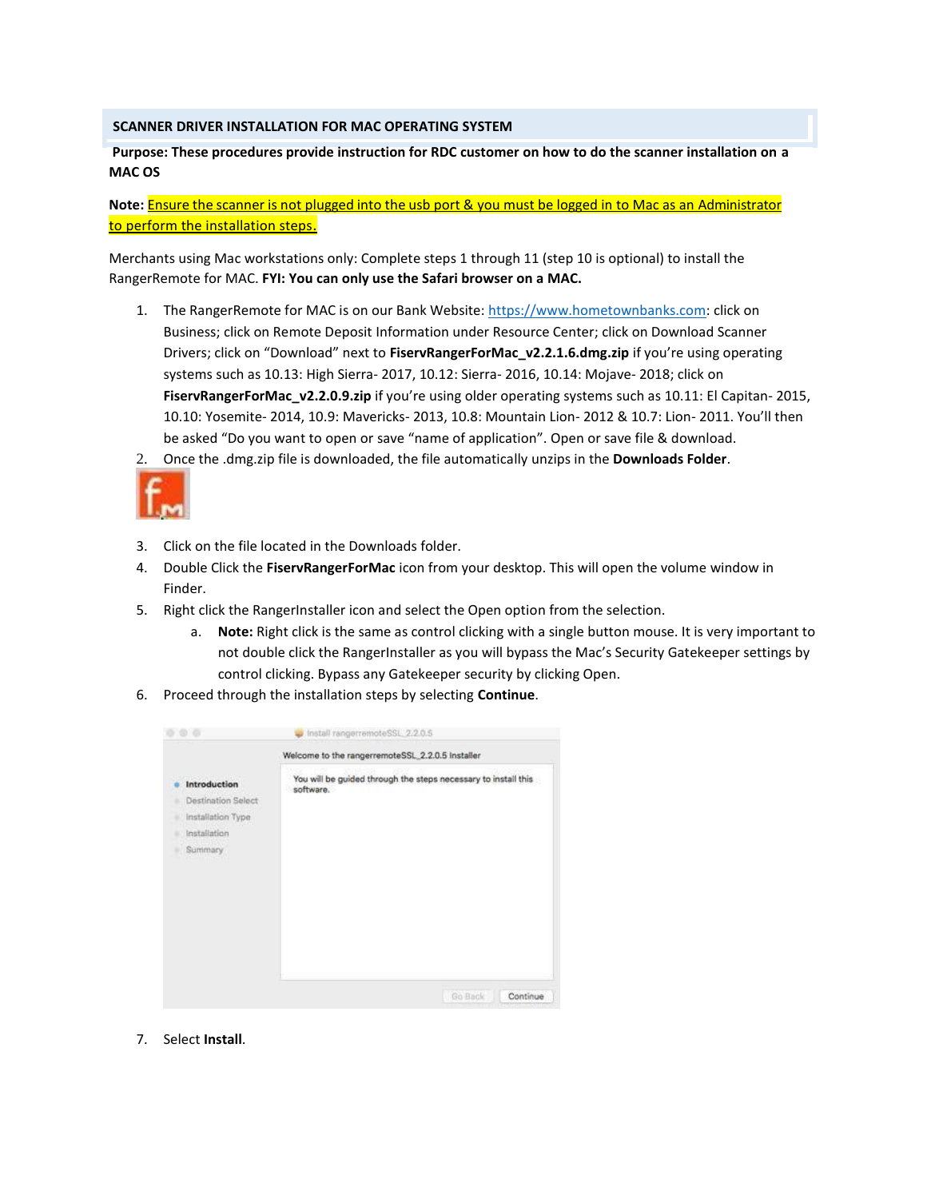## **SCANNER DRIVER INSTALLATION FOR MAC OPERATING SYSTEM**

## **Purpose: These procedures provide instruction for RDC customer on how to do the scanner installation on a MAC OS**

**Note:** Ensure the scanner is not plugged into the usb port & you must be logged in to Mac as an Administrator to perform the installation steps.

Merchants using Mac workstations only: Complete steps 1 through 11 (step 10 is optional) to install the RangerRemote for MAC. **FYI: You can only use the Safari browser on a MAC.**

- 1. The RangerRemote for MAC is on our Bank Website: https://www.hometownbanks.com: click on Business; click on Remote Deposit Information under Resource Center; click on Download Scanner Drivers; click on "Download" next to **FiservRangerForMac\_v2.2.1.6.dmg.zip** if you're using operating systems such as 10.13: High Sierra- 2017, 10.12: Sierra- 2016, 10.14: Mojave- 2018; click on **FiservRangerForMac\_v2.2.0.9.zip** if you're using older operating systems such as 10.11: El Capitan- 2015, 10.10: Yosemite- 2014, 10.9: Mavericks- 2013, 10.8: Mountain Lion- 2012 & 10.7: Lion- 2011. You'll then be asked "Do you want to open or save "name of application". Open or save file & download.
- 2. Once the .dmg.zip file is downloaded, the file automatically unzips in the **Downloads Folder**.



- 3. Click on the file located in the Downloads folder.
- 4. Double Click the **FiservRangerForMac** icon from your desktop. This will open the volume window in Finder.
- 5. Right click the RangerInstaller icon and select the Open option from the selection.
	- a. **Note:** Right click is the same as control clicking with a single button mouse. It is very important to not double click the RangerInstaller as you will bypass the Mac's Security Gatekeeper settings by control clicking. Bypass any Gatekeeper security by clicking Open.
- 6. Proceed through the installation steps by selecting **Continue**.

| Introduction<br>software.<br><b>Destination Select</b><br>Installation Type<br>Installation<br>Summary | Welcome to the rangerremoteSSL_2.2.0.5 installer               |
|--------------------------------------------------------------------------------------------------------|----------------------------------------------------------------|
|                                                                                                        | You will be guided through the steps necessary to install this |

7. Select **Install**.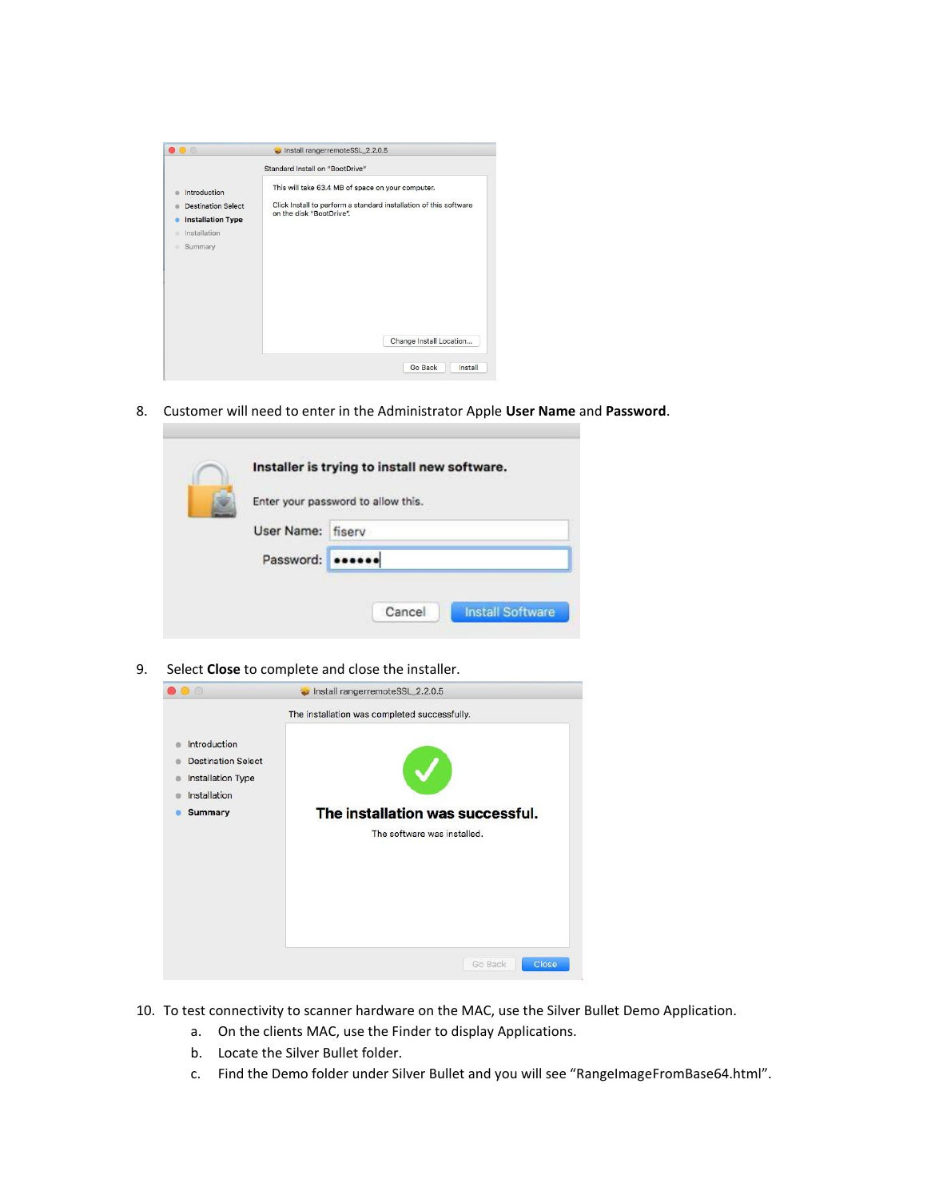|                                                                                                       | Standard Install on "BootDrive"                                                                                                                    |
|-------------------------------------------------------------------------------------------------------|----------------------------------------------------------------------------------------------------------------------------------------------------|
| Introduction<br><b>Destination Select</b><br><b>Installation Type</b><br>Installation<br>Summary<br>٠ | This will take 63.4 MB of space on your computer.<br>Click Install to perform a standard installation of this software<br>on the disk "BootDrive". |
|                                                                                                       | Change Install Location                                                                                                                            |

8. Customer will need to enter in the Administrator Apple **User Name** and **Password**.

|  |                   | Installer is trying to install new software. |
|--|-------------------|----------------------------------------------|
|  | User Name: fisery | Enter your password to allow this.           |
|  | Password:         |                                              |
|  |                   |                                              |
|  |                   | <b>Install Software</b><br>Cancel            |

9. Select **Close** to complete and close the installer.

| ua                                                                                               | Install rangerremoteSSL_2.2.0.5<br>ш.                                                                           |
|--------------------------------------------------------------------------------------------------|-----------------------------------------------------------------------------------------------------------------|
| Introduction<br><b>Destination Select</b><br>Installation Type<br>Installation<br><b>Summary</b> | The installation was completed successfully.<br>The installation was successful.<br>The software was installed. |
|                                                                                                  | Go Back<br>Close                                                                                                |

- 10. To test connectivity to scanner hardware on the MAC, use the Silver Bullet Demo Application.
	- a. On the clients MAC, use the Finder to display Applications.
	- b. Locate the Silver Bullet folder.
	- c. Find the Demo folder under Silver Bullet and you will see "RangeImageFromBase64.html".